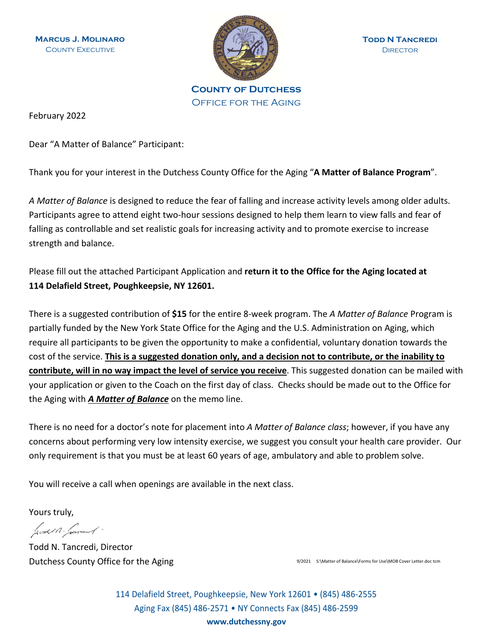**Marcus J. Molinaro** COUNTY EXECUTIVE



**County of Dutchess** Office for the Aging

February 2022

Dear "A Matter of Balance" Participant:

Thank you for your interest in the Dutchess County Office for the Aging "**A Matter of Balance Program**".

*A Matter of Balance* is designed to reduce the fear of falling and increase activity levels among older adults. Participants agree to attend eight two-hour sessions designed to help them learn to view falls and fear of falling as controllable and set realistic goals for increasing activity and to promote exercise to increase strength and balance.

Please fill out the attached Participant Application and **return it to the Office for the Aging located at 114 Delafield Street, Poughkeepsie, NY 12601.**

There is a suggested contribution of **\$15** for the entire 8-week program. The *A Matter of Balance* Program is partially funded by the New York State Office for the Aging and the U.S. Administration on Aging, which require all participants to be given the opportunity to make a confidential, voluntary donation towards the cost of the service. **This is a suggested donation only, and a decision not to contribute, or the inability to contribute, will in no way impact the level of service you receive**. This suggested donation can be mailed with your application or given to the Coach on the first day of class. Checks should be made out to the Office for the Aging with *A Matter of Balance* on the memo line.

There is no need for a doctor's note for placement into *A Matter of Balance class*; however, if you have any concerns about performing very low intensity exercise, we suggest you consult your health care provider. Our only requirement is that you must be at least 60 years of age, ambulatory and able to problem solve.

You will receive a call when openings are available in the next class.

Yours truly,

Just 1. Jane 1.

Todd N. Tancredi, Director Dutchess County Office for the Aging 9/2021 S:\Matter of Balance\Forms for Use\MOB Cover Letter.doc tcm

114 Delafield Street, Poughkeepsie, New York 12601 • (845) 486-2555 Aging Fax (845) 486-2571 • NY Connects Fax (845) 486-2599 **www.dutchessny.gov**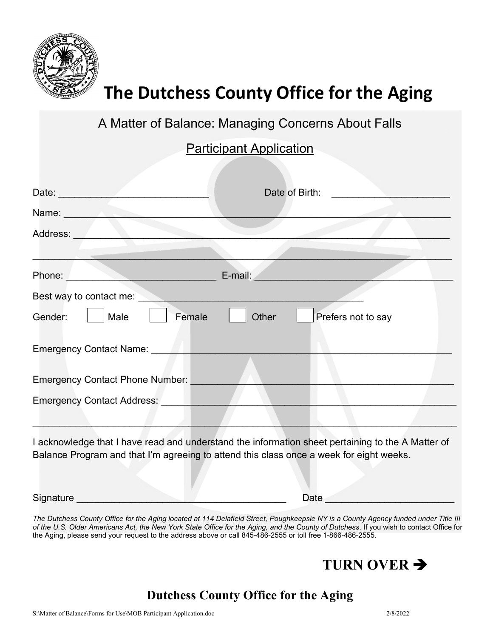

# **The Dutchess County Office for the Aging**

A Matter of Balance: Managing Concerns About Falls

## **Participant Application**

| Date: ________                                                                                                                                                                                                                                 | Date of Birth:                                                                                                                                                                               |
|------------------------------------------------------------------------------------------------------------------------------------------------------------------------------------------------------------------------------------------------|----------------------------------------------------------------------------------------------------------------------------------------------------------------------------------------------|
| Name: <b>Name</b>                                                                                                                                                                                                                              |                                                                                                                                                                                              |
| Address:                                                                                                                                                                                                                                       |                                                                                                                                                                                              |
|                                                                                                                                                                                                                                                |                                                                                                                                                                                              |
| Phone:<br><u>and the community of the community of the community of the community of the community of the community of the community of the community of the community of the community of the community of the community of the community</u> |                                                                                                                                                                                              |
| Best way to contact me:                                                                                                                                                                                                                        |                                                                                                                                                                                              |
| Female<br>Gender:<br>Male                                                                                                                                                                                                                      | Other<br>Prefers not to say                                                                                                                                                                  |
| Emergency Contact Name: <b>Emergency Contact Name:</b>                                                                                                                                                                                         |                                                                                                                                                                                              |
| <b>Emergency Contact Phone Number:</b>                                                                                                                                                                                                         |                                                                                                                                                                                              |
| Emergency Contact Address: North Contact Address:                                                                                                                                                                                              |                                                                                                                                                                                              |
|                                                                                                                                                                                                                                                | I acknowledge that I have read and understand the information sheet pertaining to the A Matter of<br>Balance Program and that I'm agreeing to attend this class once a week for eight weeks. |

Signature \_\_\_\_\_\_\_\_\_\_\_\_\_\_\_\_\_\_\_\_\_\_\_\_\_\_\_\_\_\_\_\_\_\_\_\_\_\_\_ Date \_\_\_\_\_\_\_\_\_\_\_\_\_\_\_\_\_\_\_\_\_\_\_\_

*The Dutchess County Office for the Aging located at 114 Delafield Street, Poughkeepsie NY is a County Agency funded under Title III of the U.S. Older Americans Act, the New York State Office for the Aging, and the County of Dutchess*. If you wish to contact Office for the Aging, please send your request to the address above or call 845-486-2555 or toll free 1-866-486-2555.



## **Dutchess County Office for the Aging**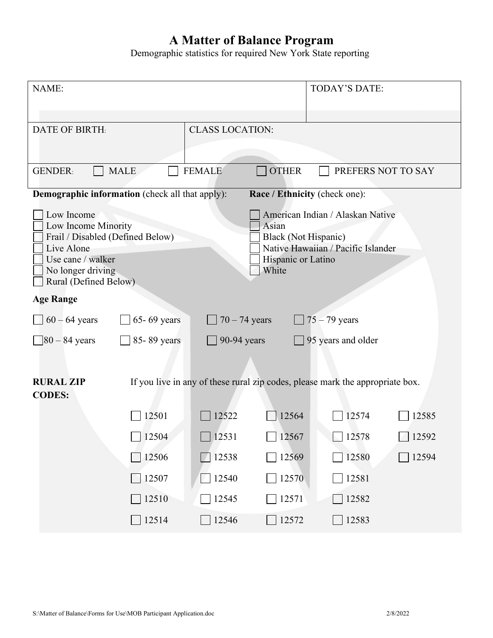#### **A Matter of Balance Program**

Demographic statistics for required New York State reporting

| NAME:                                                                                                                                                  |                                |                                                                     | <b>TODAY'S DATE:</b>                                                          |                    |
|--------------------------------------------------------------------------------------------------------------------------------------------------------|--------------------------------|---------------------------------------------------------------------|-------------------------------------------------------------------------------|--------------------|
| <b>DATE OF BIRTH:</b>                                                                                                                                  | <b>CLASS LOCATION:</b>         |                                                                     |                                                                               |                    |
| <b>GENDER:</b><br><b>MALE</b>                                                                                                                          | <b>FEMALE</b>                  | <b>OTHER</b>                                                        |                                                                               | PREFERS NOT TO SAY |
| <b>Demographic information</b> (check all that apply):                                                                                                 |                                |                                                                     | Race / Ethnicity (check one):                                                 |                    |
| Low Income<br>Low Income Minority<br>Frail / Disabled (Defined Below)<br>Live Alone<br>Use cane / walker<br>No longer driving<br>Rural (Defined Below) |                                | Asian<br><b>Black (Not Hispanic)</b><br>Hispanic or Latino<br>White | American Indian / Alaskan Native<br>Native Hawaiian / Pacific Islander        |                    |
| <b>Age Range</b>                                                                                                                                       |                                |                                                                     |                                                                               |                    |
| 65-69 years<br>$60 - 64$ years                                                                                                                         | $70 - 74$ years                |                                                                     | $75 - 79$ years                                                               |                    |
| $\frac{1}{80} - 84$ years<br>85-89 years                                                                                                               | 90-94 years                    |                                                                     | $\Box$ 95 years and older                                                     |                    |
| <b>RURAL ZIP</b><br><b>CODES:</b>                                                                                                                      |                                |                                                                     | If you live in any of these rural zip codes, please mark the appropriate box. |                    |
| 12501                                                                                                                                                  | 12522                          | 12564                                                               | 12574                                                                         | 12585              |
| $\Box$ 12504                                                                                                                                           | $\Box$ 12531                   | $\Box$ 12567                                                        | 12578                                                                         | 12592              |
| $\Box$ 12506                                                                                                                                           | $\Box$ 12538                   | $\boxed{12569}$                                                     | $\Box$ 12580                                                                  | $\Box$ 12594       |
| $\Box$ 12507                                                                                                                                           | $\Box$ 12540                   | $\Box$ 12570                                                        | $\Box$ 12581                                                                  |                    |
| $\Box$ 12510                                                                                                                                           | $\boxed{\phantom{0}}$ 12545    | $\Box$ 12571                                                        | $\boxed{12582}$                                                               |                    |
| $\Box$ 12514                                                                                                                                           | $\overline{\phantom{0}}$ 12546 | $\sqrt{12572}$                                                      | 12583                                                                         |                    |